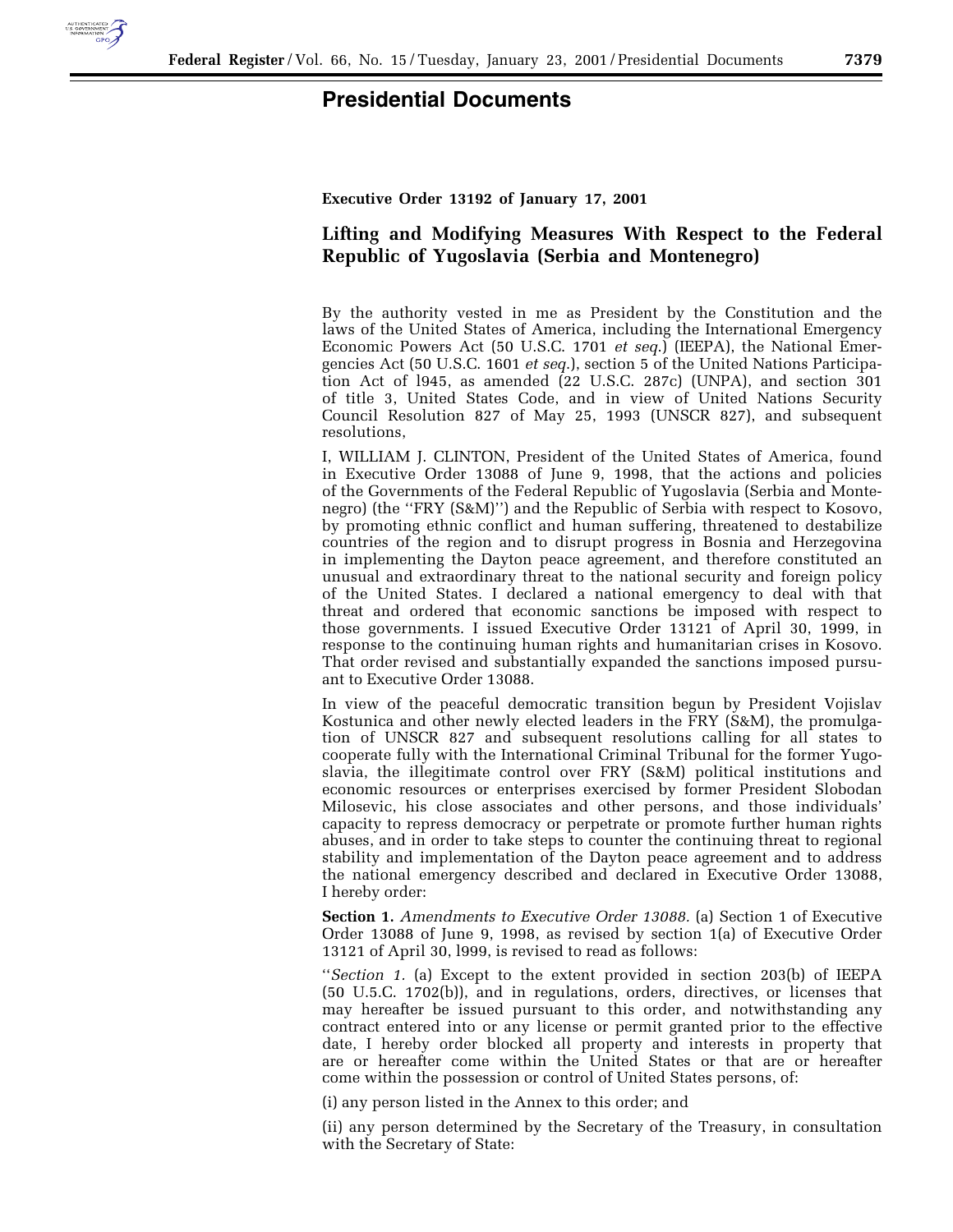

## **Presidential Documents**

**Executive Order 13192 of January 17, 2001**

## **Lifting and Modifying Measures With Respect to the Federal Republic of Yugoslavia (Serbia and Montenegro)**

By the authority vested in me as President by the Constitution and the laws of the United States of America, including the International Emergency Economic Powers Act (50 U.S.C. 1701 *et seq*.) (IEEPA), the National Emergencies Act (50 U.S.C. 1601 *et seq*.), section 5 of the United Nations Participation Act of l945, as amended (22 U.S.C. 287c) (UNPA), and section 301 of title 3, United States Code, and in view of United Nations Security Council Resolution 827 of May 25, 1993 (UNSCR 827), and subsequent resolutions,

I, WILLIAM J. CLINTON, President of the United States of America, found in Executive Order 13088 of June 9, 1998, that the actions and policies of the Governments of the Federal Republic of Yugoslavia (Serbia and Montenegro) (the ''FRY (S&M)'') and the Republic of Serbia with respect to Kosovo, by promoting ethnic conflict and human suffering, threatened to destabilize countries of the region and to disrupt progress in Bosnia and Herzegovina in implementing the Dayton peace agreement, and therefore constituted an unusual and extraordinary threat to the national security and foreign policy of the United States. I declared a national emergency to deal with that threat and ordered that economic sanctions be imposed with respect to those governments. I issued Executive Order 13121 of April 30, 1999, in response to the continuing human rights and humanitarian crises in Kosovo. That order revised and substantially expanded the sanctions imposed pursuant to Executive Order 13088.

In view of the peaceful democratic transition begun by President Vojislav Kostunica and other newly elected leaders in the FRY (S&M), the promulgation of UNSCR 827 and subsequent resolutions calling for all states to cooperate fully with the International Criminal Tribunal for the former Yugoslavia, the illegitimate control over FRY (S&M) political institutions and economic resources or enterprises exercised by former President Slobodan Milosevic, his close associates and other persons, and those individuals' capacity to repress democracy or perpetrate or promote further human rights abuses, and in order to take steps to counter the continuing threat to regional stability and implementation of the Dayton peace agreement and to address the national emergency described and declared in Executive Order 13088, I hereby order:

**Section 1.** *Amendments to Executive Order 13088.* (a) Section 1 of Executive Order 13088 of June 9, 1998, as revised by section 1(a) of Executive Order 13121 of April 30, l999, is revised to read as follows:

''*Section 1.* (a) Except to the extent provided in section 203(b) of IEEPA (50 U.5.C. 1702(b)), and in regulations, orders, directives, or licenses that may hereafter be issued pursuant to this order, and notwithstanding any contract entered into or any license or permit granted prior to the effective date, I hereby order blocked all property and interests in property that are or hereafter come within the United States or that are or hereafter come within the possession or control of United States persons, of:

(i) any person listed in the Annex to this order; and

(ii) any person determined by the Secretary of the Treasury, in consultation with the Secretary of State: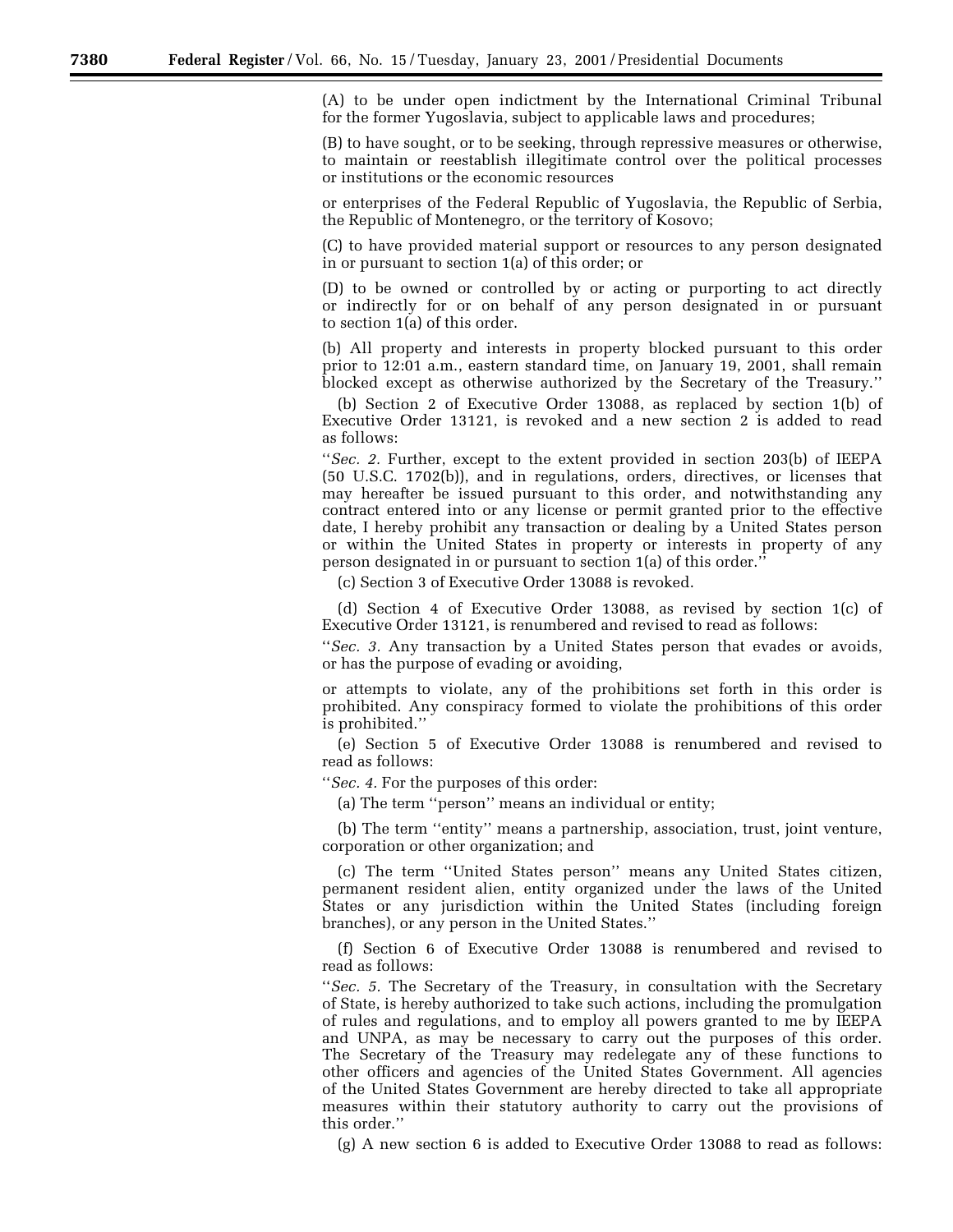(A) to be under open indictment by the International Criminal Tribunal for the former Yugoslavia, subject to applicable laws and procedures;

(B) to have sought, or to be seeking, through repressive measures or otherwise, to maintain or reestablish illegitimate control over the political processes or institutions or the economic resources

or enterprises of the Federal Republic of Yugoslavia, the Republic of Serbia, the Republic of Montenegro, or the territory of Kosovo;

(C) to have provided material support or resources to any person designated in or pursuant to section 1(a) of this order; or

(D) to be owned or controlled by or acting or purporting to act directly or indirectly for or on behalf of any person designated in or pursuant to section 1(a) of this order.

(b) All property and interests in property blocked pursuant to this order prior to 12:01 a.m., eastern standard time, on January 19, 2001, shall remain blocked except as otherwise authorized by the Secretary of the Treasury.''

(b) Section 2 of Executive Order 13088, as replaced by section 1(b) of Executive Order 13121, is revoked and a new section 2 is added to read as follows:

"*Sec. 2.* Further, except to the extent provided in section 203(b) of IEEPA (50 U.S.C. 1702(b)), and in regulations, orders, directives, or licenses that may hereafter be issued pursuant to this order, and notwithstanding any contract entered into or any license or permit granted prior to the effective date, I hereby prohibit any transaction or dealing by a United States person or within the United States in property or interests in property of any person designated in or pursuant to section 1(a) of this order.''

(c) Section 3 of Executive Order 13088 is revoked.

(d) Section 4 of Executive Order 13088, as revised by section 1(c) of Executive Order 13121, is renumbered and revised to read as follows:

''*Sec. 3.* Any transaction by a United States person that evades or avoids, or has the purpose of evading or avoiding,

or attempts to violate, any of the prohibitions set forth in this order is prohibited. Any conspiracy formed to violate the prohibitions of this order is prohibited.''

(e) Section 5 of Executive Order 13088 is renumbered and revised to read as follows:

''*Sec. 4.* For the purposes of this order:

(a) The term ''person'' means an individual or entity;

(b) The term ''entity'' means a partnership, association, trust, joint venture, corporation or other organization; and

(c) The term ''United States person'' means any United States citizen, permanent resident alien, entity organized under the laws of the United States or any jurisdiction within the United States (including foreign branches), or any person in the United States.''

(f) Section 6 of Executive Order 13088 is renumbered and revised to read as follows:

''*Sec. 5.* The Secretary of the Treasury, in consultation with the Secretary of State, is hereby authorized to take such actions, including the promulgation of rules and regulations, and to employ all powers granted to me by IEEPA and UNPA, as may be necessary to carry out the purposes of this order. The Secretary of the Treasury may redelegate any of these functions to other officers and agencies of the United States Government. All agencies of the United States Government are hereby directed to take all appropriate measures within their statutory authority to carry out the provisions of this order.''

(g) A new section 6 is added to Executive Order 13088 to read as follows: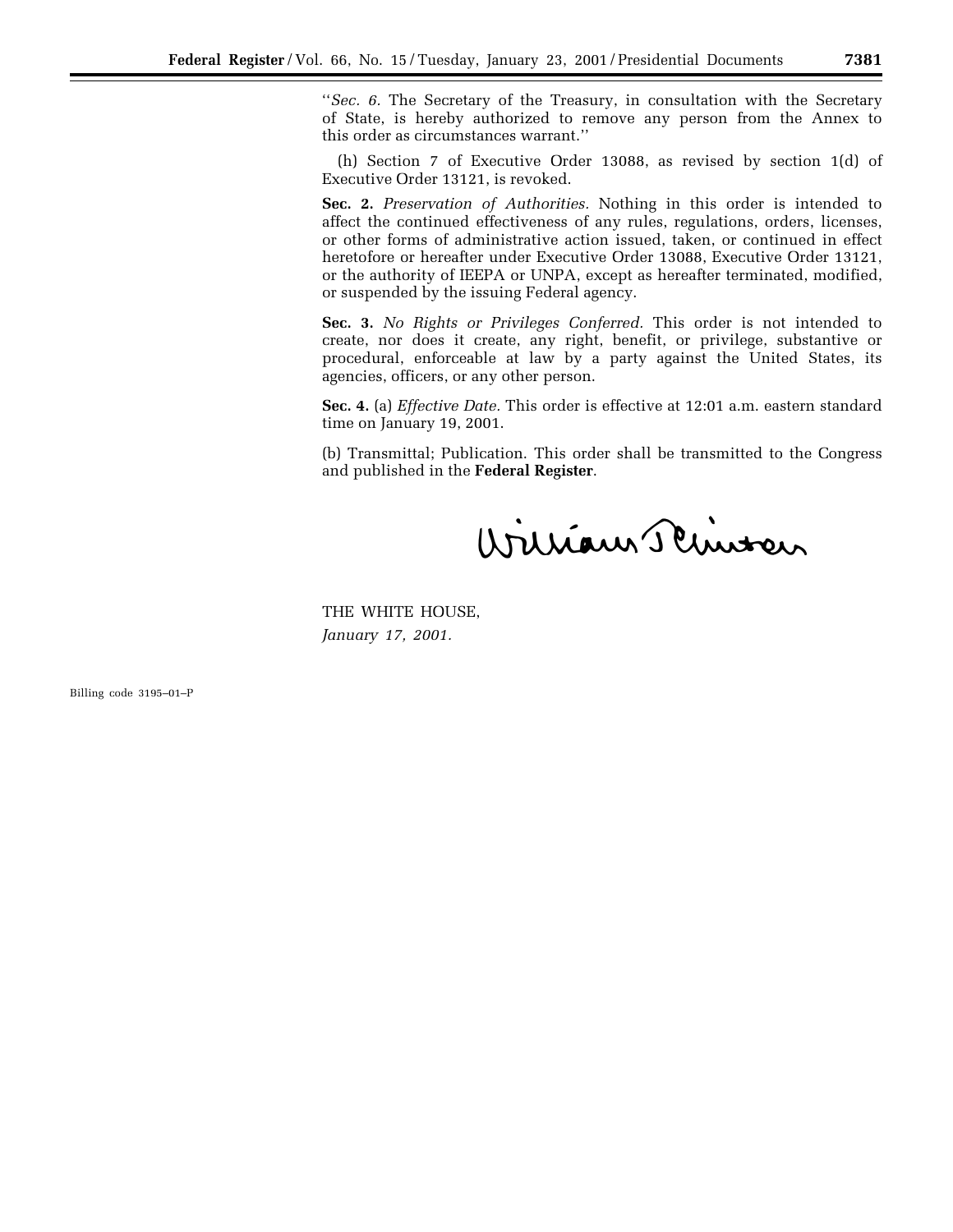''*Sec. 6.* The Secretary of the Treasury, in consultation with the Secretary of State, is hereby authorized to remove any person from the Annex to this order as circumstances warrant.''

(h) Section 7 of Executive Order 13088, as revised by section 1(d) of Executive Order 13121, is revoked.

**Sec. 2.** *Preservation of Authorities.* Nothing in this order is intended to affect the continued effectiveness of any rules, regulations, orders, licenses, or other forms of administrative action issued, taken, or continued in effect heretofore or hereafter under Executive Order 13088, Executive Order 13121, or the authority of IEEPA or UNPA, except as hereafter terminated, modified, or suspended by the issuing Federal agency.

**Sec. 3.** *No Rights or Privileges Conferred.* This order is not intended to create, nor does it create, any right, benefit, or privilege, substantive or procedural, enforceable at law by a party against the United States, its agencies, officers, or any other person.

**Sec. 4.** (a) *Effective Date.* This order is effective at 12:01 a.m. eastern standard time on January 19, 2001.

(b) Transmittal; Publication. This order shall be transmitted to the Congress and published in the **Federal Register**.

William Schutzen

THE WHITE HOUSE, *January 17, 2001.*

Billing code 3195–01–P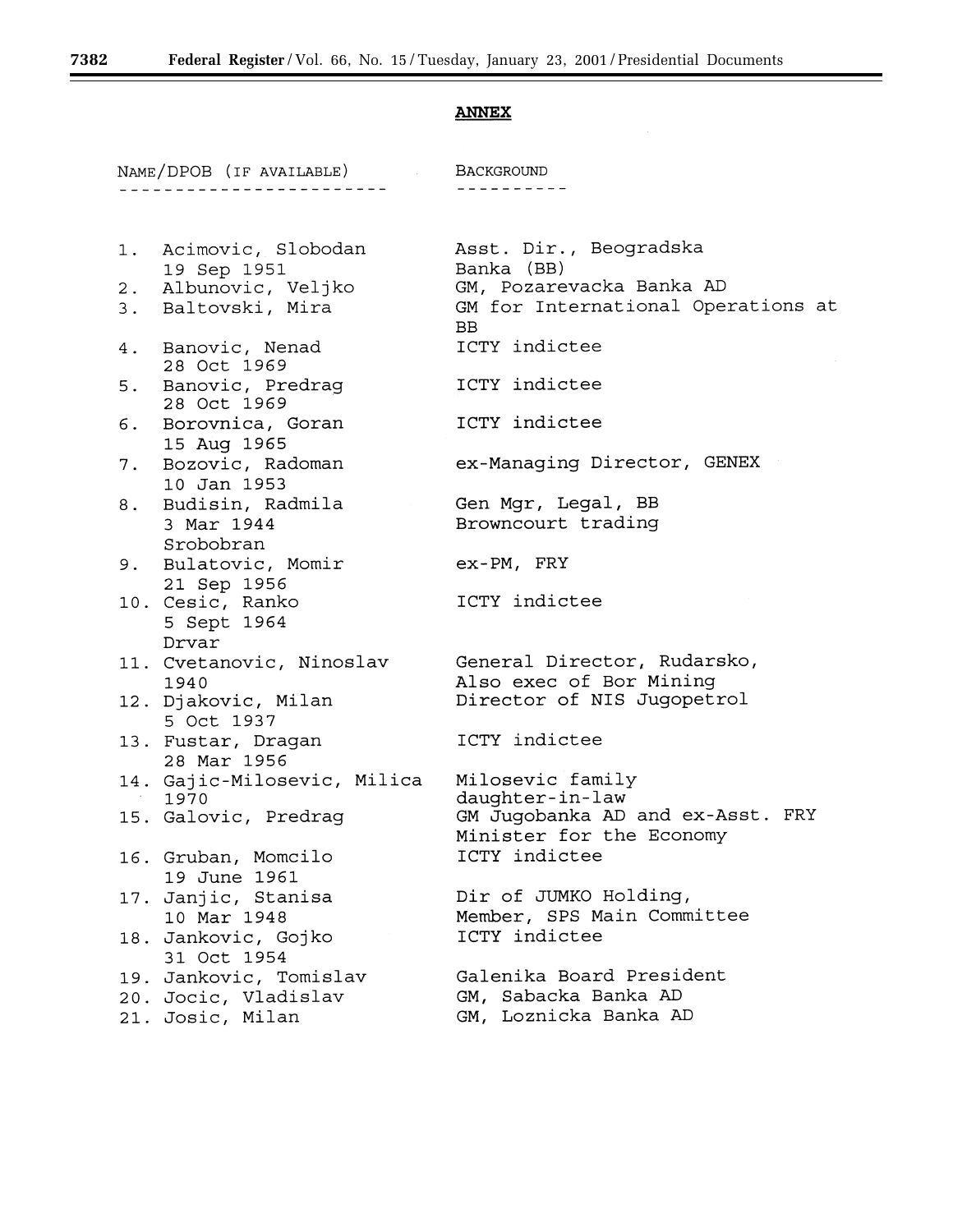## **ANNEX**

| NAME/DPOB (IF AVAILABLE) BACKGROUND |                                                                                    |                                                                                                        |  |
|-------------------------------------|------------------------------------------------------------------------------------|--------------------------------------------------------------------------------------------------------|--|
|                                     | _____________________                                                              |                                                                                                        |  |
|                                     | 1. Acimovic, Slobodan<br>19 Sep 1951<br>2. Albunovic, Veljko<br>3. Baltovski, Mira | Asst. Dir., Beogradska<br>Banka (BB)<br>GM, Pozarevacka Banka AD<br>GM for International Operations at |  |
|                                     | 4. Banovic, Nenad                                                                  | <b>BB</b><br>ICTY indictee                                                                             |  |
|                                     | 28 Oct 1969                                                                        |                                                                                                        |  |
|                                     | 5. Banovic, Predrag<br>28 Oct 1969                                                 | ICTY indictee                                                                                          |  |
| 6.                                  | Borovnica, Goran<br>15 Aug 1965                                                    | ICTY indictee                                                                                          |  |
| 7.                                  | Bozovic, Radoman<br>10 Jan 1953                                                    | ex-Managing Director, GENEX                                                                            |  |
| 8.                                  | Budisin, Radmila<br>3 Mar 1944<br>Srobobran                                        | Gen Mgr, Legal, BB<br>Browncourt trading                                                               |  |
|                                     | 9. Bulatovic, Momir<br>21 Sep 1956                                                 | ex-PM, FRY                                                                                             |  |
|                                     | 10. Cesic, Ranko<br>5 Sept 1964<br>Drvar                                           | ICTY indictee                                                                                          |  |
|                                     | 11. Cvetanovic, Ninoslav<br>1940                                                   | General Director, Rudarsko,<br>Also exec of Bor Mining                                                 |  |
|                                     | 12. Djakovic, Milan<br>5 Oct 1937                                                  | Director of NIS Jugopetrol                                                                             |  |
|                                     | 13. Fustar, Dragan<br>28 Mar 1956                                                  | ICTY indictee                                                                                          |  |
|                                     | 14. Gajic-Milosevic, Milica<br>1970                                                | Milosevic family<br>daughter-in-law                                                                    |  |
|                                     | 15. Galovic, Predrag                                                               | GM Jugobanka AD and ex-Asst. FRY<br>Minister for the Economy                                           |  |
|                                     | 16. Gruban, Momcilo<br>19 June 1961                                                | ICTY indictee                                                                                          |  |
|                                     | 17. Janjic, Stanisa<br>10 Mar 1948                                                 | Dir of JUMKO Holding,<br>Member, SPS Main Committee                                                    |  |
|                                     | 18. Jankovic, Gojko<br>31 Oct 1954                                                 | ICTY indictee                                                                                          |  |
|                                     | 19. Jankovic, Tomislav<br>20. Jocic, Vladislav<br>21. Josic, Milan                 | Galenika Board President<br>GM, Sabacka Banka AD<br>GM, Loznicka Banka AD                              |  |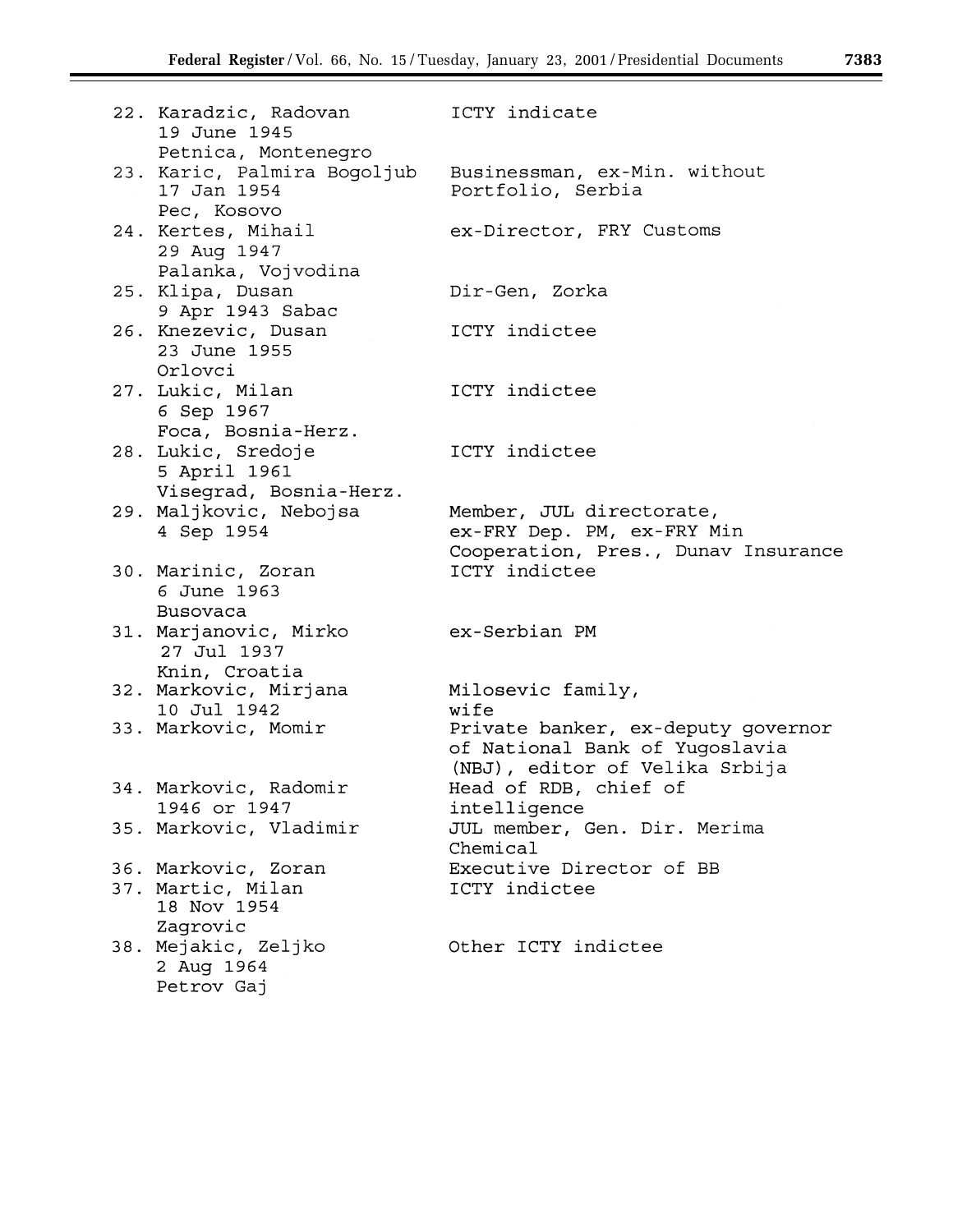| 22. Karadzic, Radovan<br>19 June 1945                                            | ICTY indicate                                                                                          |
|----------------------------------------------------------------------------------|--------------------------------------------------------------------------------------------------------|
| Petnica, Montenegro<br>23. Karic, Palmira Bogoljub<br>17 Jan 1954<br>Pec, Kosovo | Businessman, ex-Min. without<br>Portfolio, Serbia                                                      |
| 24. Kertes, Mihail<br>29 Aug 1947<br>Palanka, Vojvodina                          | ex-Director, FRY Customs                                                                               |
| 25. Klipa, Dusan<br>9 Apr 1943 Sabac                                             | Dir-Gen, Zorka                                                                                         |
| 26. Knezevic, Dusan<br>23 June 1955<br>Orlovci                                   | ICTY indictee                                                                                          |
| 27. Lukic, Milan<br>6 Sep 1967<br>Foca, Bosnia-Herz.                             | ICTY indictee                                                                                          |
| 28. Lukic, Sredoje<br>5 April 1961<br>Visegrad, Bosnia-Herz.                     | ICTY indictee                                                                                          |
| 29. Maljkovic, Nebojsa<br>4 Sep 1954                                             | Member, JUL directorate,<br>ex-FRY Dep. PM, ex-FRY Min<br>Cooperation, Pres., Dunav Insurance          |
| 30. Marinic, Zoran<br>6 June 1963<br>Busovaca                                    | ICTY indictee                                                                                          |
| 31. Marjanovic, Mirko<br>27 Jul 1937<br>Knin, Croatia                            | ex-Serbian PM                                                                                          |
| 32. Markovic, Mirjana<br>10 Jul 1942                                             | Milosevic family,<br>wife                                                                              |
| 33. Markovic, Momir                                                              | Private banker, ex-deputy governor<br>of National Bank of Yugoslavia<br>(NBJ), editor of Velika Srbija |
| 34. Markovic, Radomir<br>1946 or 1947                                            | Head of RDB, chief of<br>intelligence                                                                  |
| 35. Markovic, Vladimir                                                           | JUL member, Gen. Dir. Merima<br>Chemical                                                               |
| 36. Markovic, Zoran<br>37. Martic, Milan<br>18 Nov 1954<br>Zagrovic              | Executive Director of BB<br>ICTY indictee                                                              |
| 38. Mejakic, Zeljko<br>2 Aug 1964<br>Petrov Gaj                                  | Other ICTY indictee                                                                                    |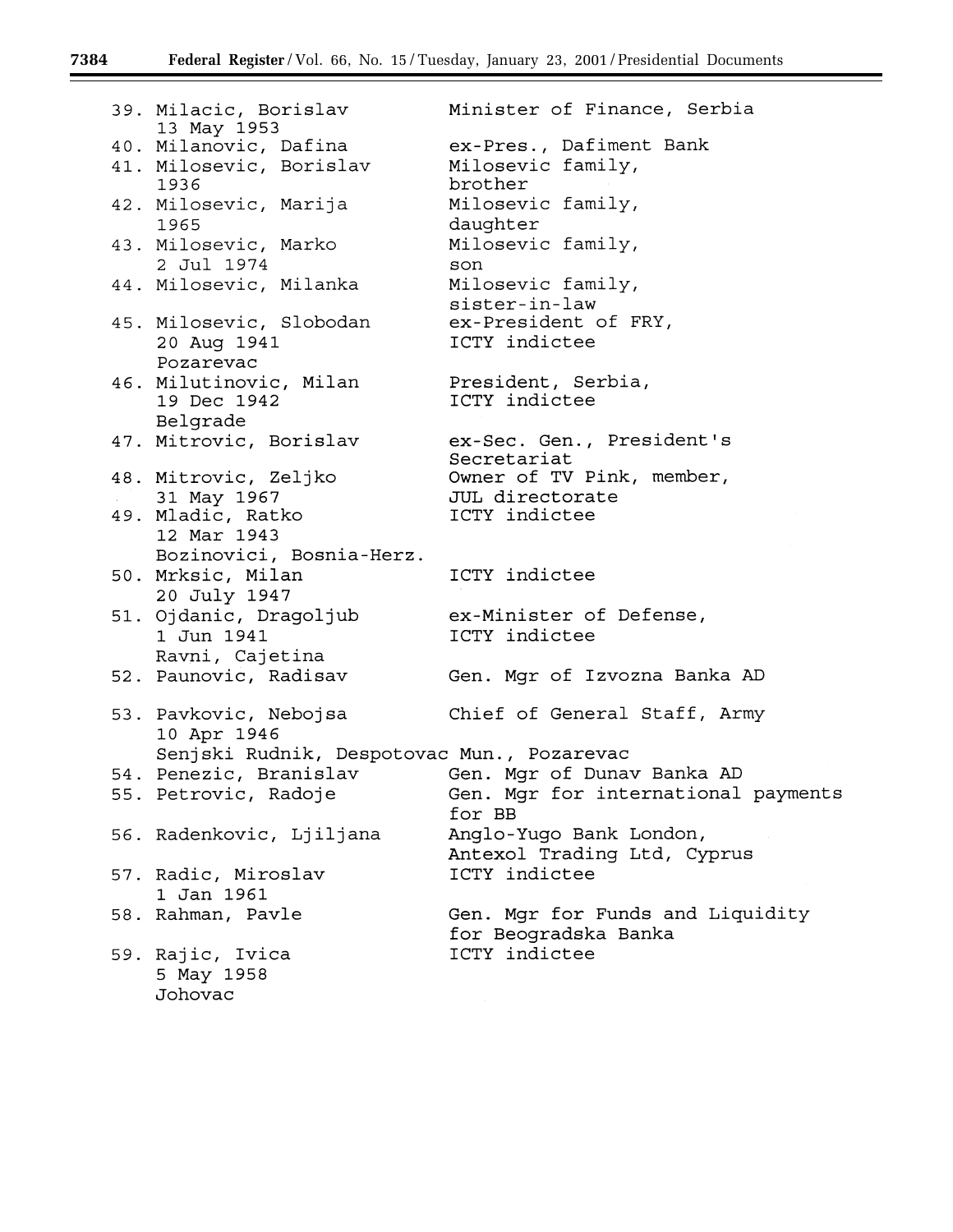▀

| 39. Milacic, Borislav<br>13 May 1953                         | Minister of Finance, Serbia                                          |
|--------------------------------------------------------------|----------------------------------------------------------------------|
| 40. Milanovic, Dafina                                        | ex-Pres., Dafiment Bank                                              |
| 41. Milosevic, Borislav<br>1936                              | Milosevic family,<br>brother                                         |
| 42. Milosevic, Marija<br>1965                                | Milosevic family,<br>daughter                                        |
| 43. Milosevic, Marko<br>2 Jul 1974                           | Milosevic family,<br>son                                             |
| 44. Milosevic, Milanka                                       | Milosevic family,<br>sister-in-law                                   |
| 45. Milosevic, Slobodan<br>20 Aug 1941<br>Pozarevac          | ex-President of FRY,<br>ICTY indictee                                |
| 46. Milutinovic, Milan<br>19 Dec 1942                        | President, Serbia,<br>ICTY indictee                                  |
| Belgrade<br>47. Mitrovic, Borislav                           | ex-Sec. Gen., President's                                            |
| 48. Mitrovic, Zeljko                                         | Secretariat<br>Owner of TV Pink, member,                             |
| 31 May 1967                                                  | JUL directorate                                                      |
| 49. Mladic, Ratko<br>12 Mar 1943<br>Bozinovici, Bosnia-Herz. | ICTY indictee                                                        |
| 50. Mrksic, Milan<br>20 July 1947                            | ICTY indictee                                                        |
| 51. Ojdanic, Dragoljub<br>1 Jun 1941                         | ex-Minister of Defense,<br>ICTY indictee                             |
| Ravni, Cajetina                                              |                                                                      |
| 52. Paunovic, Radisav                                        | Gen. Mgr of Izvozna Banka AD                                         |
| 53. Pavkovic, Nebojsa<br>10 Apr 1946                         | Chief of General Staff, Army                                         |
| Senjski Rudnik, Despotovac Mun., Pozarevac                   |                                                                      |
|                                                              | 54. Penezic, Branislav (Gen. Mgr of Dunav Banka AD                   |
|                                                              | 55. Petrovic, Radoje (Gen. Mgr for international payments)<br>for BB |
| 56. Radenkovic, Ljiljana                                     | Anglo-Yugo Bank London,<br>Antexol Trading Ltd, Cyprus               |
| 57. Radic, Miroslav<br>1 Jan 1961                            | ICTY indictee                                                        |
| 58. Rahman, Pavle                                            | Gen. Mgr for Funds and Liquidity<br>for Beogradska Banka             |
| 59. Rajic, Ivica<br>5 May 1958<br>Johovac                    | ICTY indictee                                                        |